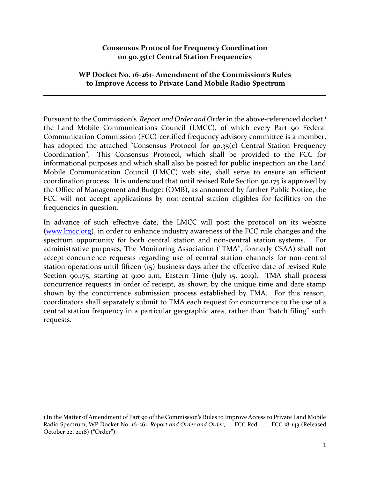#### **Consensus Protocol for Frequency Coordination on 90.35(c) Central Station Frequencies**

#### **WP Docket No. 16-261- Amendment of the Commission's Rules to Improve Access to Private Land Mobile Radio Spectrum**

Pursuant to the Commission's Report and Order and Order in the above-referenced docket,<sup>1</sup> the Land Mobile Communications Council (LMCC), of which every Part 90 Federal Communication Commission (FCC)-certified frequency advisory committee is a member, has adopted the attached "Consensus Protocol for 90.35(c) Central Station Frequency Coordination". This Consensus Protocol, which shall be provided to the FCC for informational purposes and which shall also be posted for public inspection on the Land Mobile Communication Council (LMCC) web site, shall serve to ensure an efficient coordination process. It is understood that until revised Rule Section 90.175 is approved by the Office of Management and Budget (OMB), as announced by further Public Notice, the FCC will not accept applications by non-central station eligibles for facilities on the frequencies in question.

In advance of such effective date, the LMCC will post the protocol on its website [\(www.lmcc.org\)](http://www.lmcc.org/), in order to enhance industry awareness of the FCC rule changes and the spectrum opportunity for both central station and non-central station systems. For administrative purposes, The Monitoring Association ("TMA", formerly CSAA) shall not accept concurrence requests regarding use of central station channels for non-central station operations until fifteen (15) business days after the effective date of revised Rule Section 90.175, starting at 9:00 a.m. Eastern Time (July 15, 2019). TMA shall process concurrence requests in order of receipt, as shown by the unique time and date stamp shown by the concurrence submission process established by TMA. For this reason, coordinators shall separately submit to TMA each request for concurrence to the use of a central station frequency in a particular geographic area, rather than "batch filing" such requests.

 $\overline{a}$ 

<sup>1</sup> In the Matter of Amendment of Part 90 of the Commission's Rules to Improve Access to Private Land Mobile Radio Spectrum, WP Docket No. 16-261, *Report and Order and Order*, \_\_ FCC Rcd \_\_\_, FCC 18-143 (Released October 22, 2018) ("Order").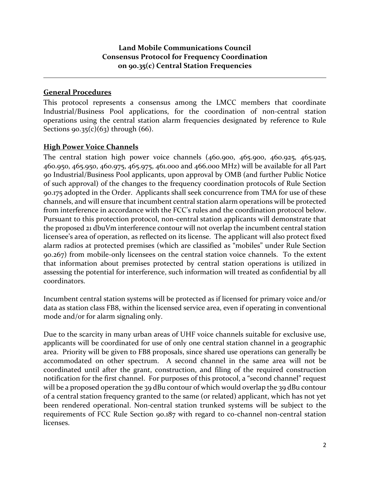## **General Procedures**

This protocol represents a consensus among the LMCC members that coordinate Industrial/Business Pool applications, for the coordination of non-central station operations using the central station alarm frequencies designated by reference to Rule Sections  $90.35(c)(63)$  through  $(66)$ .

## **High Power Voice Channels**

The central station high power voice channels (460.900, 465.900, 460.925, 465.925, 460.950, 465.950, 460.975, 465.975, 461.000 and 466.000 MHz) will be available for all Part 90 Industrial/Business Pool applicants, upon approval by OMB (and further Public Notice of such approval) of the changes to the frequency coordination protocols of Rule Section 90.175 adopted in the Order. Applicants shall seek concurrence from TMA for use of these channels, and will ensure that incumbent central station alarm operations will be protected from interference in accordance with the FCC's rules and the coordination protocol below. Pursuant to this protection protocol, non-central station applicants will demonstrate that the proposed 21 dbuVm interference contour will not overlap the incumbent central station licensee's area of operation, as reflected on its license. The applicant will also protect fixed alarm radios at protected premises (which are classified as "mobiles" under Rule Section 90.267) from mobile-only licensees on the central station voice channels. To the extent that information about premises protected by central station operations is utilized in assessing the potential for interference, such information will treated as confidential by all coordinators.

Incumbent central station systems will be protected as if licensed for primary voice and/or data as station class FB8, within the licensed service area, even if operating in conventional mode and/or for alarm signaling only.

Due to the scarcity in many urban areas of UHF voice channels suitable for exclusive use, applicants will be coordinated for use of only one central station channel in a geographic area. Priority will be given to FB8 proposals, since shared use operations can generally be accommodated on other spectrum. A second channel in the same area will not be coordinated until after the grant, construction, and filing of the required construction notification for the first channel. For purposes of this protocol, a "second channel" request will be a proposed operation the 39 dBu contour of which would overlap the 39 dBu contour of a central station frequency granted to the same (or related) applicant, which has not yet been rendered operational. Non-central station trunked systems will be subject to the requirements of FCC Rule Section 90.187 with regard to co-channel non-central station licenses.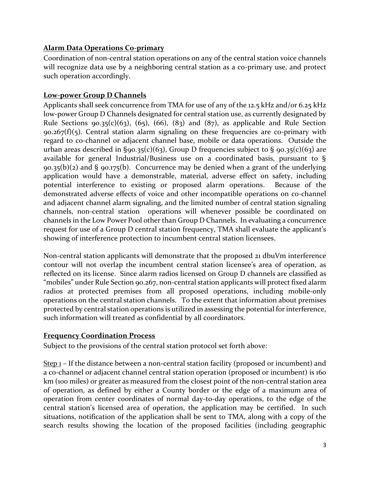# **Alarm Data Operations Co-primary**

Coordination of non-central station operations on any of the central station voice channels will recognize data use by a neighboring central station as a co-primary use, and protect such operation accordingly.

## **Low-power Group D Channels**

Applicants shall seek concurrence from TMA for use of any of the 12.5 kHz and/or 6.25 kHz low-power Group D Channels designated for central station use, as currently designated by Rule Sections 90.35(c)(63), (65), (66), (83) and (87), as applicable and Rule Section  $90.267(f)(5)$ . Central station alarm signaling on these frequencies are co-primary with regard to co-channel or adjacent channel base, mobile or data operations. Outside the urban areas described in §90.35(c)(63), Group D frequencies subject to § 90.35(c)(63) are available for general Industrial/Business use on a coordinated basis, pursuant to §  $90.35(b)(2)$  and §  $90.175(b)$ . Concurrence may be denied when a grant of the underlying application would have a demonstrable, material, adverse effect on safety, including potential interference to existing or proposed alarm operations. Because of the demonstrated adverse effects of voice and other incompatible operations on co-channel and adjacent channel alarm signaling, and the limited number of central station signaling channels, non-central station operations will whenever possible be coordinated on channels in the Low Power Pool other than Group D Channels. In evaluating a concurrence request for use of a Group D central station frequency, TMA shall evaluate the applicant's showing of interference protection to incumbent central station licensees.

Non-central station applicants will demonstrate that the proposed 21 dbuVm interference contour will not overlap the incumbent central station licensee's area of operation, as reflected on its license. Since alarm radios licensed on Group D channels are classified as "mobiles" under Rule Section 90.267, non-central station applicants will protect fixed alarm radios at protected premises from all proposed operations, including mobile-only operations on the central station channels. To the extent that information about premises protected by central station operations is utilized in assessing the potential for interference, such information will treated as confidential by all coordinators.

## **Frequency Coordination Process**

Subject to the provisions of the central station protocol set forth above:

Step 1 – If the distance between a non-central station facility (proposed or incumbent) and a co-channel or adjacent channel central station operation (proposed or incumbent) is 160 km (100 miles) or greater as measured from the closest point of the non-central station area of operation, as defined by either a County border or the edge of a maximum area of operation from center coordinates of normal day-to-day operations, to the edge of the central station's licensed area of operation, the application may be certified. In such situations, notification of the application shall be sent to TMA, along with a copy of the search results showing the location of the proposed facilities (including geographic